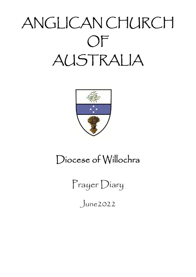# ANGLICAN CHURCH OF AUSTRALIA



# Diocese of Willochra

Prayer Diary

June2022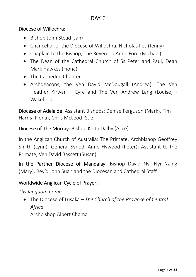#### Diocese of Willochra:

- Bishop John Stead (Jan)
- Chancellor of the Diocese of Willochra, Nicholas Iles (Jenny)
- Chaplain to the Bishop, The Reverend Anne Ford (Michael)
- The Dean of the Cathedral Church of Ss Peter and Paul, Dean Mark Hawkes (Fiona)
- The Cathedral Chapter
- Archdeacons, the Ven David McDougall (Andrea), The Ven Heather Kirwan – Eyre and The Ven Andrew Lang (Louise) ‐ Wakefield

Diocese of Adelaide: Assistant Bishops: Denise Ferguson (Mark), Tim Harris (Fiona), Chris McLeod (Sue)

Diocese of The Murray: Bishop Keith Dalby (Alice)

In the Anglican Church of Australia: The Primate, Archbishop Geoffrey Smith (Lynn); General Synod, Anne Hywood (Peter); Assistant to the Primate, Ven David Bassett (Susan)

In the Partner Diocese of Mandalay: Bishop David Nyi Nyi Naing (Mary), Rev'd John Suan and the Diocesan and Cathedral Staff

## Worldwide Anglican Cycle of Prayer:

*Thy Kingdom Come*

 The Diocese of Lusaka – *The Church of the Province of Central Africa* Archbishop Albert Chama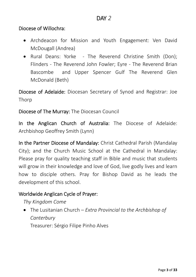- Archdeacon for Mission and Youth Engagement: Ven David McDougall (Andrea)
- Rural Deans: Yorke The Reverend Christine Smith (Don); Flinders - The Reverend John Fowler; Eyre - The Reverend Brian Bascombe and Upper Spencer Gulf The Reverend Glen McDonald (Beth)

Diocese of Adelaide: Diocesan Secretary of Synod and Registrar: Joe Thorp

#### Diocese of The Murray: The Diocesan Council

In the Anglican Church of Australia: The Diocese of Adelaide: Archbishop Geoffrey Smith (Lynn)

In the Partner Diocese of Mandalay: Christ Cathedral Parish (Mandalay City); and the Church Music School at the Cathedral in Mandalay: Please pray for quality teaching staff in Bible and music that students will grow in their knowledge and love of God, live godly lives and learn how to disciple others. Pray for Bishop David as he leads the development of this school.

#### Worldwide Anglican Cycle of Prayer:

#### *Thy Kingdom Come*

 The Lusitanian Church – *Extra Provincial to the Archbishop of Canterbury*

Treasurer: Sérgio Filipe Pinho Alves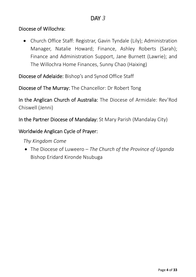Church Office Staff: Registrar, Gavin Tyndale (Lily); Administration Manager, Natalie Howard; Finance, Ashley Roberts (Sarah); Finance and Administration Support, Jane Burnett (Lawrie); and The Willochra Home Finances, Sunny Chao (Haixing)

Diocese of Adelaide: Bishop's and Synod Office Staff

Diocese of The Murray: The Chancellor: Dr Robert Tong

In the Anglican Church of Australia: The Diocese of Armidale: Rev'Rod Chiswell (Jenni)

In the Partner Diocese of Mandalay: St Mary Parish (Mandalay City)

#### Worldwide Anglican Cycle of Prayer:

*Thy Kingdom Come*

 The Diocese of Luweero – *The Church of the Province of Uganda* Bishop Eridard Kironde Nsubuga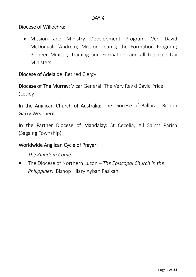Mission and Ministry Development Program, Ven David McDougall (Andrea); Mission Teams; the Formation Program; Pioneer Ministry Training and Formation, and all Licenced Lay Ministers.

Diocese of Adelaide: Retired Clergy

Diocese of The Murray: Vicar General: The Very Rev'd David Price (Lesley)

In the Anglican Church of Australia: The Diocese of Ballarat: Bishop Garry Weatherill

In the Partner Diocese of Mandalay: St Cecelia, All Saints Parish (Sagaing Township)

#### Worldwide Anglican Cycle of Prayer:

*Thy Kingdom Come*

 The Diocese of Northern Luzon – *The Episcopal Church in the Philippines:* Bishop Hilary Ayban Pasikan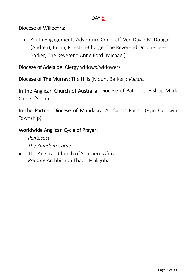Youth Engagement, 'Adventure Connect', Ven David McDougall (Andrea); Burra; Priest‐in‐Charge, The Reverend Dr Jane Lee‐ Barker; The Reverend Anne Ford (Michael)

Diocese of Adelaide: Clergy widows/widowers

Diocese of The Murray: The Hills (Mount Barker): *Vacant*

In the Anglican Church of Australia: Diocese of Bathurst: Bishop Mark Calder (Susan)

In the Partner Diocese of Mandalay: All Saints Parish (Pyin Oo Lwin Township)

#### Worldwide Anglican Cycle of Prayer:

*Pentecost*

*Thy Kingdom Come*

• The Anglican Church of Southern Africa *Primate* Archbishop Thabo Makgoba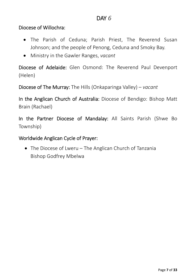- The Parish of Ceduna; Parish Priest, The Reverend Susan Johnson; and the people of Penong, Ceduna and Smoky Bay.
- Ministry in the Gawler Ranges, *vacant*

Diocese of Adelaide: Glen Osmond: The Reverend Paul Devenport (Helen)

Diocese of The Murray: The Hills (Onkaparinga Valley) – *vacant*

In the Anglican Church of Australia: Diocese of Bendigo: Bishop Matt Brain (Rachael)

In the Partner Diocese of Mandalay: All Saints Parish (Shwe Bo Township)

Worldwide Anglican Cycle of Prayer:

• The Diocese of Lweru – The Anglican Church of Tanzania Bishop Godfrey Mbelwa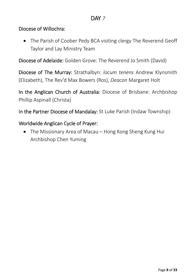#### Diocese of Willochra:

• The Parish of Coober Pedy BCA visiting clergy The Reverend Geoff Taylor and Lay Ministry Team

Diocese of Adelaide: Golden Grove: The Reverend Jo Smith (David)

Diocese of The Murray: Strathalbyn: *locum tenens* Andrew Klynsmith (Elizabeth), The Rev'd Max Bowers (Ros), *Deacon* Margaret Holt

In the Anglican Church of Australia: Diocese of Brisbane: Archbishop Phillip Aspinall (Christa)

In the Partner Diocese of Mandalay: St Luke Parish (Indaw Township)

#### Worldwide Anglican Cycle of Prayer:

• The Missionary Area of Macau – Hong Kong Sheng Kung Hui Archbishop Chen Yuming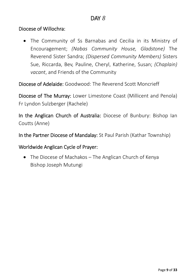The Community of Ss Barnabas and Cecilia in its Ministry of Encouragement; *(Nabas Community House, Gladstone)* The Reverend Sister Sandra; *(Dispersed Community Members)* Sisters Sue, Riccarda, Bev, Pauline, Cheryl, Katherine, Susan; *(Chaplain) vacant*, and Friends of the Community

Diocese of Adelaide: Goodwood: The Reverend Scott Moncrieff

Diocese of The Murray: Lower Limestone Coast (Millicent and Penola) Fr Lyndon Sulzberger (Rachele)

In the Anglican Church of Australia: Diocese of Bunbury: Bishop Ian Coutts (Anne)

In the Partner Diocese of Mandalay: St Paul Parish (Kathar Township)

Worldwide Anglican Cycle of Prayer:

• The Diocese of Machakos – The Anglican Church of Kenya Bishop Joseph Mutungi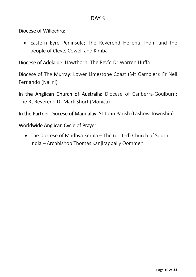#### Diocese of Willochra:

 Eastern Eyre Peninsula; The Reverend Hellena Thom and the people of Cleve, Cowell and Kimba

Diocese of Adelaide: Hawthorn: The Rev'd Dr Warren Huffa

Diocese of The Murray: Lower Limestone Coast (Mt Gambier): Fr Neil Fernando (Nalini)

In the Anglican Church of Australia: Diocese of Canberra‐Goulburn: The Rt Reverend Dr Mark Short (Monica)

In the Partner Diocese of Mandalay: St John Parish (Lashow Township)

#### Worldwide Anglican Cycle of Prayer:

 The Diocese of Madhya Kerala – The (united) Church of South India – Archbishop Thomas Kanjirappally Oommen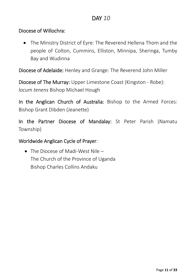#### Diocese of Willochra:

 The Ministry District of Eyre: The Reverend Hellena Thom and the people of Colton, Cummins, Elliston, Minnipa, Sheringa, Tumby Bay and Wudinna

Diocese of Adelaide: Henley and Grange: The Reverend John Miller

Diocese of The Murray: Upper Limestone Coast (Kingston ‐ Robe): *locum tenens* Bishop Michael Hough

In the Anglican Church of Australia: Bishop to the Armed Forces: Bishop Grant Dibden (Jeanette)

In the Partner Diocese of Mandalay: St Peter Parish (Namatu Township)

Worldwide Anglican Cycle of Prayer:

 The Diocese of Madi‐West Nile – The Church of the Province of Uganda Bishop Charles Collins Andaku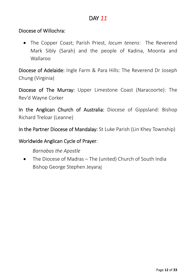#### Diocese of Willochra:

 The Copper Coast; Parish Priest, *locum tenens*: The Reverend Mark Sibly (Sarah) and the people of Kadina, Moonta and Wallaroo

Diocese of Adelaide: Ingle Farm & Para Hills: The Reverend Dr Joseph Chung (Virginia)

Diocese of The Murray: Upper Limestone Coast (Naracoorte): The Rev'd Wayne Corker

In the Anglican Church of Australia: Diocese of Gippsland: Bishop Richard Treloar (Leanne)

In the Partner Diocese of Mandalay: St Luke Parish (Lin Khey Township)

Worldwide Anglican Cycle of Prayer:

*Barnabas the Apostle*

 The Diocese of Madras – The (united) Church of South India Bishop George Stephen Jeyaraj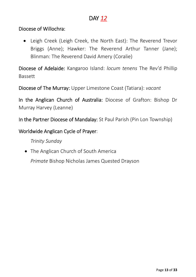#### Diocese of Willochra:

 Leigh Creek (Leigh Creek, the North East): The Reverend Trevor Briggs (Anne); Hawker: The Reverend Arthur Tanner (Jane); Blinman: The Reverend David Amery (Coralie)

Diocese of Adelaide: Kangaroo Island: *locum tenens* The Rev'd Phillip Bassett

Diocese of The Murray: Upper Limestone Coast (Tatiara): *vacant*

In the Anglican Church of Australia: Diocese of Grafton: Bishop Dr Murray Harvey (Leanne)

In the Partner Diocese of Mandalay: St Paul Parish (Pin Lon Township)

Worldwide Anglican Cycle of Prayer:

*Trinity Sunday*

• The Anglican Church of South America

*Primate* Bishop Nicholas James Quested Drayson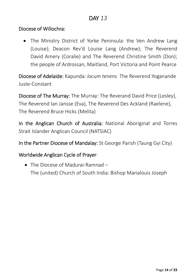#### Diocese of Willochra:

• The Ministry District of Yorke Peninsula: the Ven Andrew Lang (Louise); Deacon Rev'd Louise Lang (Andrew); The Reverend David Amery (Coralie) and The Reverend Christine Smith (Don); the people of Ardrossan, Maitland, Port Victoria and Point Pearce

Diocese of Adelaide: Kapunda: *locum tenens* The Reverend Yoganande Juste‐Constant

Diocese of The Murray: The Murray: The Reverand David Price (Lesley), The Reverend Ian Jansse (Eva), The Reverend Des Ackland (Raelene), The Reverend Bruce Hicks (Melita)

In the Anglican Church of Australia: National Aboriginal and Torres Strait Islander Anglican Council (NATSIAC)

In the Partner Diocese of Mandalay: St George Parish (Taung Gyi City)

#### Worldwide Anglican Cycle of Prayer:

● The Diocese of Madurai-Ramnad – The (united) Church of South India: Bishop Marialouis Joseph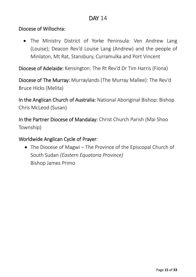#### Diocese of Willochra:

• The Ministry District of Yorke Peninsula: Ven Andrew Lang (Louise); Deacon Rev'd Louise Lang (Andrew) and the people of Minlaton, Mt Rat, Stansbury, Curramulka and Port Vincent

Diocese of Adelaide: Kensington: The Rt Rev'd Dr Tim Harris (Fiona)

Diocese of The Murray: Murraylands (The Murray Mallee): The Rev'd Bruce Hicks (Melita)

In the Anglican Church of Australia: National Aboriginal Bishop: Bishop Chris McLeod (Susan)

In the Partner Diocese of Mandalay: Christ Church Parish (Mai Shoo Township)

#### Worldwide Anglican Cycle of Prayer:

• The Diocese of Magwi – The Province of the Episcopal Church of South Sudan *(Eastern Equatoria Province)* Bishop James Primo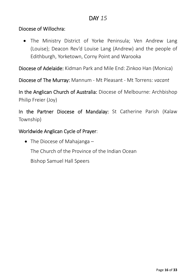• The Ministry District of Yorke Peninsula; Ven Andrew Lang (Louise); Deacon Rev'd Louise Lang (Andrew) and the people of Edithburgh, Yorketown, Corny Point and Warooka

Diocese of Adelaide: Kidman Park and Mile End: Zinkoo Han (Monica)

Diocese of The Murray: Mannum ‐ Mt Pleasant ‐ Mt Torrens: *vacant*

In the Anglican Church of Australia: Diocese of Melbourne: Archbishop Philip Freier (Joy)

In the Partner Diocese of Mandalay: St Catherine Parish (Kalaw Township)

Worldwide Anglican Cycle of Prayer:

• The Diocese of Mahajanga – The Church of the Province of the Indian Ocean Bishop Samuel Hall Speers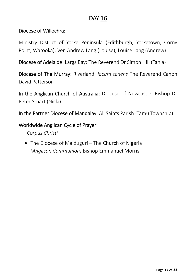#### Diocese of Willochra:

Ministry District of Yorke Peninsula (Edithburgh, Yorketown, Corny Point, Warooka): Ven Andrew Lang (Louise), Louise Lang (Andrew)

Diocese of Adelaide: Largs Bay: The Reverend Dr Simon Hill (Tania)

Diocese of The Murray: Riverland: *locum tenens* The Reverend Canon David Patterson

In the Anglican Church of Australia: Diocese of Newcastle: Bishop Dr Peter Stuart (Nicki)

In the Partner Diocese of Mandalay: All Saints Parish (Tamu Township)

#### Worldwide Anglican Cycle of Prayer:

*Corpus Christi*

• The Diocese of Maiduguri – The Church of Nigeria *(Anglican Communion)* Bishop Emmanuel Morris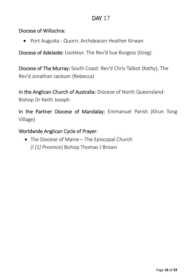#### Diocese of Willochra:

● Port Augusta - Quorn: Archdeacon Heather Kirwan

Diocese of Adelaide: Lockleys: The Rev'd Sue Burgess (Greg)

Diocese of The Murray: South Coast: Rev'd Chris Talbot (Kathy), The Rev'd Jonathan Jackson (Rebecca)

In the Anglican Church of Australia: Diocese of North Queensland:

Bishop Dr Keith Joseph

In the Partner Diocese of Mandalay: Emmanuel Parish (Khun Tong Village)

Worldwide Anglican Cycle of Prayer:

• The Diocese of Maine – The Episcopal Church *(I [1] Province)* Bishop Thomas J Brown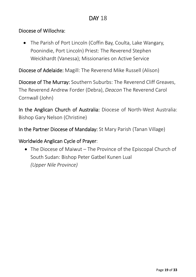#### Diocese of Willochra:

 The Parish of Port Lincoln (Coffin Bay, Coulta, Lake Wangary, Poonindie, Port Lincoln) Priest: The Reverend Stephen Weickhardt (Vanessa); Missionaries on Active Service

Diocese of Adelaide: Magill: The Reverend Mike Russell (Alison)

Diocese of The Murray: Southern Suburbs: The Reverend Cliff Greaves, The Reverend Andrew Forder (Debra), *Deacon* The Reverend Carol Cornwall (John)

In the Anglican Church of Australia: Diocese of North‐West Australia: Bishop Gary Nelson (Christine)

In the Partner Diocese of Mandalay: St Mary Parish (Tanan Village)

#### Worldwide Anglican Cycle of Prayer:

 The Diocese of Maiwut – The Province of the Episcopal Church of South Sudan: Bishop Peter Gatbel Kunen Lual *(Upper Nile Province)*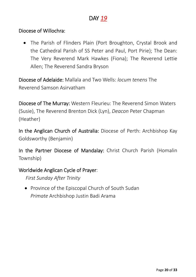#### Diocese of Willochra:

 The Parish of Flinders Plain (Port Broughton, Crystal Brook and the Cathedral Parish of SS Peter and Paul, Port Pirie); The Dean: The Very Reverend Mark Hawkes (Fiona); The Reverend Lettie Allen; The Reverend Sandra Bryson

Diocese of Adelaide: Mallala and Two Wells: *locum tenens* The Reverend Samson Asirvatham

Diocese of The Murray: Western Fleurieu: The Reverend Simon Waters (Susie), The Reverend Brenton Dick (Lyn), *Deacon* Peter Chapman (Heather)

In the Anglican Church of Australia: Diocese of Perth: Archbishop Kay Goldsworthy (Benjamin)

In the Partner Diocese of Mandalay: Christ Church Parish (Homalin Township)

#### Worldwide Anglican Cycle of Prayer:

*First Sunday After Trinity*

• Province of the Episcopal Church of South Sudan *Primate* Archbishop Justin Badi Arama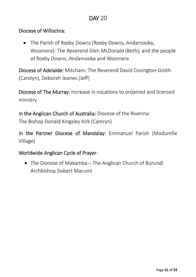#### Diocese of Willochra:

 The Parish of Roxby Downs (Roxby Downs, Andamooka, Woomera): The Reverend Glen McDonald (Beth); and the people of Roxby Downs, Andamooka and Woomera

Diocese of Adelaide: Mitcham: The Reverend David Covington‐Groth (Carolyn), Deborah Jeanes (Jeff)

Diocese of The Murray: Increase in vocations to ordained and licensed ministry

In the Anglican Church of Australia: Diocese of the Riverina:

The Bishop Donald Kingsley Kirk (Camryn)

In the Partner Diocese of Mandalay: Emmanuel Parish (Modumfie Village)

#### Worldwide Anglican Cycle of Prayer:

• The Diocese of Makamba – The Anglican Church of Burundi Archbishop Sixbert Macumi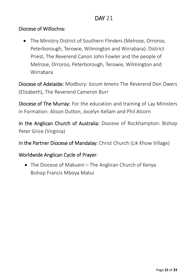#### Diocese of Willochra:

 The Ministry District of Southern Flinders (Melrose, Orroroo, Peterborough, Terowie, Wilmington and Wirrabara): District Priest, The Reverend Canon John Fowler and the people of Melrose, Orroroo, Peterborough, Terowie, Wilmington and Wirrabara

Diocese of Adelaide: Modbury: *locum tenens* The Reverend Don Owers (Elizabeth), The Reverend Cameron Burr

Diocese of The Murray: For the education and training of Lay Ministers in Formation: Alison Dutton, Jocelyn Kellam and Phil Alcorn

In the Anglican Church of Australia: Diocese of Rockhampton: Bishop Peter Grice (Virginia)

In the Partner Diocese of Mandalay: Christ Church (Lik Khow Village)

Worldwide Anglican Cycle of Prayer:

• The Diocese of Makueni – The Anglican Church of Kenya Bishop Francis Mboya Matui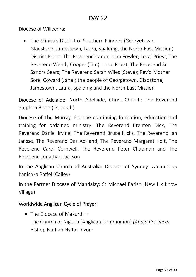• The Ministry District of Southern Flinders (Georgetown, Gladstone, Jamestown, Laura, Spalding, the North‐East Mission) District Priest: The Reverend Canon John Fowler; Local Priest, The Reverend Wendy Cooper (Tim); Local Priest, The Reverend Sr Sandra Sears; The Reverend Sarah Wiles (Steve); Rev'd Mother Sorèl Coward (Jane); the people of Georgetown, Gladstone, Jamestown, Laura, Spalding and the North‐East Mission

Diocese of Adelaide: North Adelaide, Christ Church: The Reverend Stephen Bloor (Deborah)

Diocese of The Murray: For the continuing formation, education and training for ordained ministry: The Reverend Brenton Dick, The Reverend Daniel Irvine, The Reverend Bruce Hicks, The Reverend Ian Jansse, The Reverend Des Ackland, The Reverend Margaret Holt, The Reverend Carol Cornwell, The Reverend Peter Chapman and The Reverend Jonathan Jackson

In the Anglican Church of Australia: Diocese of Sydney: Archbishop Kanishka Raffel (Cailey)

In the Partner Diocese of Mandalay: St Michael Parish (New Lik Khow Village)

#### Worldwide Anglican Cycle of Prayer:

• The Diocese of Makurdi – The Church of Nigeria (Anglican Communion) *(Abuja Province)* Bishop Nathan Nyitar Inyom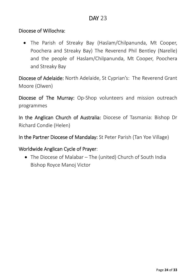#### Diocese of Willochra:

 The Parish of Streaky Bay (Haslam/Chilpanunda, Mt Cooper, Poochera and Streaky Bay) The Reverend Phil Bentley (Narelle) and the people of Haslam/Chilpanunda, Mt Cooper, Poochera and Streaky Bay

Diocese of Adelaide: North Adelaide, St Cyprian's: The Reverend Grant Moore (Olwen)

Diocese of The Murray: Op-Shop volunteers and mission outreach programmes

In the Anglican Church of Australia: Diocese of Tasmania: Bishop Dr Richard Condie (Helen)

In the Partner Diocese of Mandalay: St Peter Parish (Tan Yoe Village)

#### Worldwide Anglican Cycle of Prayer:

 The Diocese of Malabar – The (united) Church of South India Bishop Royce Manoj Victor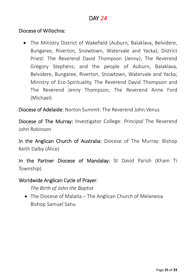#### Diocese of Willochra:

 The Ministry District of Wakefield (Auburn, Balaklava, Belvidere, Bungaree, Riverton, Snowtown, Watervale and Yacka); District Priest: The Reverend David Thompson (Jenny); The Reverend Gregory Stephens; and the people of Auburn, Balaklava, Belvidere, Bungaree, Riverton, Snowtown, Watervale and Yacka; Ministry of Eco‐Spirituality, The Reverend David Thompson and The Reverend Jenny Thompson; The Reverend Anne Ford (Michael)

Diocese of Adelaide: Norton Summit: The Reverend John Venus

Diocese of The Murray: Investigator College: *Principal* The Reverend John Robinson

In the Anglican Church of Australia: Diocese of The Murray: Bishop Keith Dalby (Alice)

In the Partner Diocese of Mandalay: St David Parish (Kham Ti Township)

#### Worldwide Anglican Cycle of Prayer:

*The Birth of John the Baptist*

• The Diocese of Malaita – The Anglican Church of Melanesia Bishop Samuel Sahu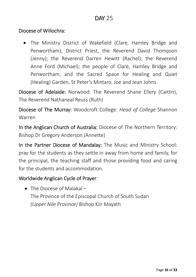The Ministry District of Wakefield (Clare, Hamley Bridge and Penwortham); District Priest, the Reverend David Thompson (Jenny); the Reverend Darren Hewitt (Rachel); the Reverend Anne Ford (Michael); the people of Clare, Hamley Bridge and Penwortham; and the Sacred Space for Healing and Quiet (Healing) Garden, St Peter's Mintaro, Joe and Jean Johns

Diocese of Adelaide: Norwood: The Reverend Shane Ellery (Caitlin), The Reverend Nathaneal Reuss (Ruth)

Diocese of The Murray: Woodcroft College: *Head of College* Shannon Warren

In the Anglican Church of Australia: Diocese of The Northern Territory: Bishop Dr Gregory Anderson (Annette)

In the Partner Diocese of Mandalay: The Music and Ministry School: pray for the students as they settle in away from home and family, for the principal, the teaching staff and those providing food and caring for the students and accommodation.

#### Worldwide Anglican Cycle of Prayer:

• The Diocese of Malakal – The Province of the Episcopal Church of South Sudan *(Upper Nile Province)* Bishop Kiir Mayath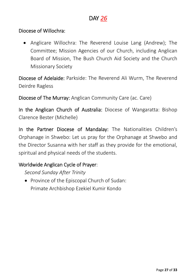#### Diocese of Willochra:

• Anglicare Willochra: The Reverend Louise Lang (Andrew); The Committee; Mission Agencies of our Church, including Anglican Board of Mission, The Bush Church Aid Society and the Church Missionary Society

Diocese of Adelaide: Parkside: The Reverend Ali Wurm, The Reverend Deirdre Ragless

Diocese of The Murray: Anglican Community Care (ac. Care)

In the Anglican Church of Australia: Diocese of Wangaratta: Bishop Clarence Bester (Michelle)

In the Partner Diocese of Mandalay: The Nationalities Children's Orphanage in Shwebo: Let us pray for the Orphanage at Shwebo and the Director Susanna with her staff as they provide for the emotional, spiritual and physical needs of the students.

#### Worldwide Anglican Cycle of Prayer:

*Second Sunday After Trinity*

• Province of the Episcopal Church of Sudan: Primate Archbishop Ezekiel Kumir Kondo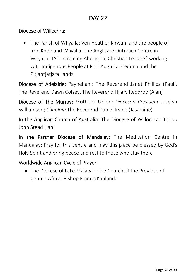#### Diocese of Willochra:

 The Parish of Whyalla; Ven Heather Kirwan; and the people of Iron Knob and Whyalla. The Anglicare Outreach Centre in Whyalla; TACL (Training Aboriginal Christian Leaders) working with Indigenous People at Port Augusta, Ceduna and the Pitjantjatjara Lands

Diocese of Adelaide: Payneham: The Reverend Janet Phillips (Paul), The Reverend Dawn Colsey, The Reverend Hilary Reddrop (Alan)

Diocese of The Murray: Mothers' Union: *Diocesan President* Jocelyn Williamson; *Chaplain* The Reverend Daniel Irvine (Jasamine)

In the Anglican Church of Australia: The Diocese of Willochra: Bishop John Stead (Jan)

In the Partner Diocese of Mandalay: The Meditation Centre in Mandalay: Pray for this centre and may this place be blessed by God's Holy Spirit and bring peace and rest to those who stay there

## Worldwide Anglican Cycle of Prayer:

 The Diocese of Lake Malawi – The Church of the Province of Central Africa: Bishop Francis Kaulanda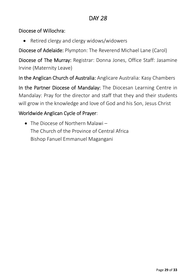#### Diocese of Willochra:

Retired clergy and clergy widows/widowers

Diocese of Adelaide: Plympton: The Reverend Michael Lane (Carol)

Diocese of The Murray: Registrar: Donna Jones, Office Staff: Jasamine Irvine (Maternity Leave)

In the Anglican Church of Australia: Anglicare Australia: Kasy Chambers

In the Partner Diocese of Mandalay: The Diocesan Learning Centre in Mandalay: Pray for the director and staff that they and their students will grow in the knowledge and love of God and his Son, Jesus Christ

#### Worldwide Anglican Cycle of Prayer:

 The Diocese of Northern Malawi – The Church of the Province of Central Africa Bishop Fanuel Emmanuel Magangani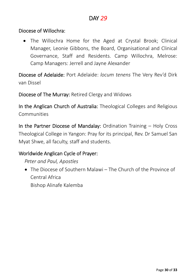#### Diocese of Willochra:

• The Willochra Home for the Aged at Crystal Brook; Clinical Manager, Leonie Gibbons, the Board, Organisational and Clinical Governance, Staff and Residents. Camp Willochra, Melrose: Camp Managers: Jerrell and Jayne Alexander

Diocese of Adelaide: Port Adelaide: *locum tenens* The Very Rev'd Dirk van Dissel

Diocese of The Murray: Retired Clergy and Widows

In the Anglican Church of Australia: Theological Colleges and Religious Communities

In the Partner Diocese of Mandalay: Ordination Training – Holy Cross Theological College in Yangon: Pray for its principal, Rev. Dr Samuel San Myat Shwe, all faculty, staff and students.

#### Worldwide Anglican Cycle of Prayer:

*Peter and Paul, Apostles*

 The Diocese of Southern Malawi – The Church of the Province of Central Africa Bishop Alinafe Kalemba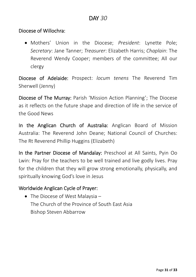Mothers' Union in the Diocese; *President*: Lynette Pole; *Secretary*: Jane Tanner; *Treasurer*: Elizabeth Harris; *Chaplain*: The Reverend Wendy Cooper; members of the committee; All our clergy

Diocese of Adelaide: Prospect: *locum tenens* The Reverend Tim Sherwell (Jenny)

Diocese of The Murray: Parish 'Mission Action Planning'; The Diocese as it reflects on the future shape and direction of life in the service of the Good News

In the Anglican Church of Australia: Anglican Board of Mission Australia: The Reverend John Deane; National Council of Churches: The Rt Reverend Phillip Huggins (Elizabeth)

In the Partner Diocese of Mandalay: Preschool at All Saints, Pyin Oo Lwin: Pray for the teachers to be well trained and live godly lives. Pray for the children that they will grow strong emotionally, physically, and spiritually knowing God's love in Jesus

#### Worldwide Anglican Cycle of Prayer:

• The Diocese of West Malaysia – The Church of the Province of South East Asia Bishop Steven Abbarrow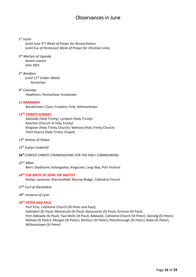#### Observances in June

#### *1st Justin*

 *(until June 3rd) Week of Prayer for Reconciliation (until Eve of Pentecost) Week of Prayer for Christian Unity*

*3rd Martyrs of Uganda Janani Luwum John XXIII*

*5th Boniface (until 11th Ember Week)* Nuriootpa

*9th Columba* Hawthorn; Penneshaw; Snowtown

#### *11 BARNABAS*

Bordertown; Clare; Croydon; Firle; Solomontown

#### *12TH TRINITY SUNDAY*

Adelaide (Holy Trinity); Lyndoch (Holy Trinity) Riverton (Church of Holy Trinity) Kingston (Holy Trinity Church); Melrose (Holy Trinity Church) Point Pearce (Holy Trinity Chapel)

- *13th Antony of Padua*
- *15th Evelyn Underhill*
- **16th** *CORPUS CHRISTI (THANKSGIVING FOR THE HOLY COMMUNION)*
- *22nd Alban*

Berri; Gladstone; Kalangadoo; Kingscote; Largs Bay; Port Victoria

#### *24TH THE BIRTH OF JOHN THE BAPTIST*

Kimba; Lameroo; Macclesfield; Murray Bridge, Cathedral Church

- *27th Cyril of Alexandria*
- *28th Irenaeus of Lyon*

#### *29TH PETER AND PAUL*

Port Pirie, Cathedral Church (SS Peter and Paul); Hahndorf (St Paul); Montacute (St Paul); Naracoorte (St Paul); Orroroo (St Paul); Port Adelaide (St Paul); Two Wells (St Paul); Adelaide, Cathedral Church (St Peter); Glenelg (St Peter); Mallala (St Peter); Morgan (St Peter); Mintaro (St Peter); Peterborough (St Peter); Robe (St Peter); Williamstown (St Peter)